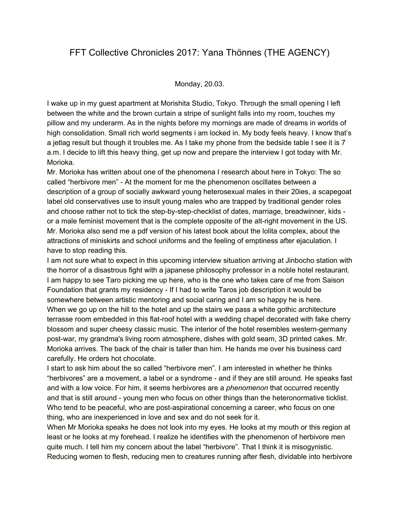# FFT Collective Chronicles 2017: Yana Thönnes (THE AGENCY)

## Monday, 20.03.

I wake up in my guest apartment at Morishita Studio, Tokyo. Through the small opening I left between the white and the brown curtain a stripe of sunlight falls into my room, touches my pillow and my underarm. As in the nights before my mornings are made of dreams in worlds of high consolidation. Small rich world segments i am locked in. My body feels heavy. I know that's a jetlag result but though it troubles me. As I take my phone from the bedside table I see it is 7 a.m. I decide to lift this heavy thing, get up now and prepare the interview I got today with Mr. Morioka.

Mr. Morioka has written about one of the phenomena I research about here in Tokyo: The so called "herbivore men" - At the moment for me the phenomenon oscillates between a description of a group of socially awkward young heterosexual males in their 20ies, a scapegoat label old conservatives use to insult young males who are trapped by traditional gender roles and choose rather not to tick the step-by-step-checklist of dates, marriage, breadwinner, kids or a male feminist movement that is the complete opposite of the alt-right movement in the US. Mr. Morioka also send me a pdf version of his latest book about the lolita complex, about the attractions of miniskirts and school uniforms and the feeling of emptiness after ejaculation. I have to stop reading this.

I am not sure what to expect in this upcoming interview situation arriving at Jinbocho station with the horror of a disastrous fight with a japanese philosophy professor in a noble hotel restaurant. I am happy to see Taro picking me up here, who is the one who takes care of me from Saison Foundation that grants my residency - If I had to write Taros job description it would be somewhere between artistic mentoring and social caring and I am so happy he is here. When we go up on the hill to the hotel and up the stairs we pass a white gothic architecture terrasse room embedded in this flat-roof hotel with a wedding chapel decorated with fake cherry blossom and super cheesy classic music. The interior of the hotel resembles western-germany post-war, my grandma's living room atmosphere, dishes with gold seam, 3D printed cakes. Mr. Morioka arrives. The back of the chair is taller than him. He hands me over his business card carefully. He orders hot chocolate.

I start to ask him about the so called "herbivore men". I am interested in whether he thinks "herbivores" are a movement, a label or a syndrome - and if they are still around. He speaks fast and with a low voice. For him, it seems herbivores are a *phenomenon* that occurred recently and that is still around - young men who focus on other things than the heteronormative ticklist. Who tend to be peaceful, who are post-aspirational concerning a career, who focus on one thing, who are inexperienced in love and sex and do not seek for it.

When Mr Morioka speaks he does not look into my eyes. He looks at my mouth or this region at least or he looks at my forehead. I realize he identifies with the phenomenon of herbivore men quite much. I tell him my concern about the label "herbivore". That I think it is misogynistic. Reducing women to flesh, reducing men to creatures running after flesh, dividable into herbivore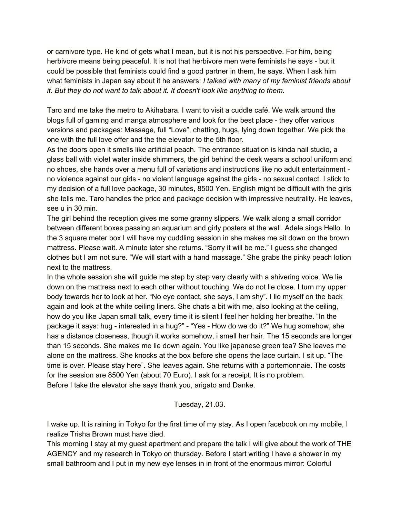or carnivore type. He kind of gets what I mean, but it is not his perspective. For him, being herbivore means being peaceful. It is not that herbivore men were feminists he says - but it could be possible that feminists could find a good partner in them, he says. When I ask him what feminists in Japan say about it he answers: *I talked with many of my feminist friends about it. But they do not want to talk about it. It doesn't look like anything to them.*

Taro and me take the metro to Akihabara. I want to visit a cuddle café. We walk around the blogs full of gaming and manga atmosphere and look for the best place - they offer various versions and packages: Massage, full "Love", chatting, hugs, lying down together. We pick the one with the full love offer and the the elevator to the 5th floor.

As the doors open it smells like artificial peach. The entrance situation is kinda nail studio, a glass ball with violet water inside shimmers, the girl behind the desk wears a school uniform and no shoes, she hands over a menu full of variations and instructions like no adult entertainment no violence against our girls - no violent language against the girls - no sexual contact. I stick to my decision of a full love package, 30 minutes, 8500 Yen. English might be difficult with the girls she tells me. Taro handles the price and package decision with impressive neutrality. He leaves, see u in 30 min.

The girl behind the reception gives me some granny slippers. We walk along a small corridor between different boxes passing an aquarium and girly posters at the wall. Adele sings Hello. In the 3 square meter box I will have my cuddling session in she makes me sit down on the brown mattress. Please wait. A minute later she returns. "Sorry it will be me." I guess she changed clothes but I am not sure. "We will start with a hand massage." She grabs the pinky peach lotion next to the mattress.

In the whole session she will guide me step by step very clearly with a shivering voice. We lie down on the mattress next to each other without touching. We do not lie close. I turn my upper body towards her to look at her. "No eye contact, she says, I am shy". I lie myself on the back again and look at the white ceiling liners. She chats a bit with me, also looking at the ceiling, how do you like Japan small talk, every time it is silent I feel her holding her breathe. "In the package it says: hug - interested in a hug?" - "Yes - How do we do it?" We hug somehow, she has a distance closeness, though it works somehow, i smell her hair. The 15 seconds are longer than 15 seconds. She makes me lie down again. You like japanese green tea? She leaves me alone on the mattress. She knocks at the box before she opens the lace curtain. I sit up. "The time is over. Please stay here". She leaves again. She returns with a portemonnaie. The costs for the session are 8500 Yen (about 70 Euro). I ask for a receipt. It is no problem. Before I take the elevator she says thank you, arigato and Danke.

## Tuesday, 21.03.

I wake up. It is raining in Tokyo for the first time of my stay. As I open facebook on my mobile, I realize Trisha Brown must have died.

This morning I stay at my guest apartment and prepare the talk I will give about the work of THE AGENCY and my research in Tokyo on thursday. Before I start writing I have a shower in my small bathroom and I put in my new eye lenses in in front of the enormous mirror: Colorful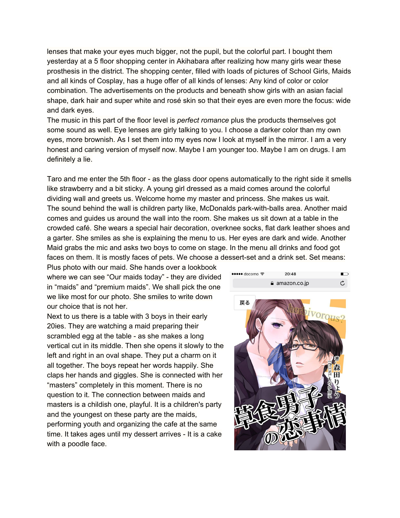lenses that make your eyes much bigger, not the pupil, but the colorful part. I bought them yesterday at a 5 floor shopping center in Akihabara after realizing how many girls wear these prosthesis in the district. The shopping center, filled with loads of pictures of School Girls, Maids and all kinds of Cosplay, has a huge offer of all kinds of lenses: Any kind of color or color combination. The advertisements on the products and beneath show girls with an asian facial shape, dark hair and super white and rosé skin so that their eyes are even more the focus: wide and dark eyes.

The music in this part of the floor level is *perfect romance* plus the products themselves got some sound as well. Eye lenses are girly talking to you. I choose a darker color than my own eyes, more brownish. As I set them into my eyes now I look at myself in the mirror. I am a very honest and caring version of myself now. Maybe I am younger too. Maybe I am on drugs. I am definitely a lie.

Taro and me enter the 5th floor - as the glass door opens automatically to the right side it smells like strawberry and a bit sticky. A young girl dressed as a maid comes around the colorful dividing wall and greets us. Welcome home my master and princess. She makes us wait. The sound behind the wall is children party like, McDonalds park-with-balls area. Another maid comes and guides us around the wall into the room. She makes us sit down at a table in the crowded café. She wears a special hair decoration, overknee socks, flat dark leather shoes and a garter. She smiles as she is explaining the menu to us. Her eyes are dark and wide. Another Maid grabs the mic and asks two boys to come on stage. In the menu all drinks and food got faces on them. It is mostly faces of pets. We choose a dessert-set and a drink set. Set means:

Plus photo with our maid. She hands over a lookbook where we can see "Our maids today" - they are divided in "maids" and "premium maids". We shall pick the one we like most for our photo. She smiles to write down our choice that is not her.

Next to us there is a table with 3 boys in their early 20ies. They are watching a maid preparing their scrambled egg at the table - as she makes a long vertical cut in its middle. Then she opens it slowly to the left and right in an oval shape. They put a charm on it all together. The boys repeat her words happily. She claps her hands and giggles. She is connected with her "masters" completely in this moment. There is no question to it. The connection between maids and masters is a childish one, playful. It is a children's party and the youngest on these party are the maids, performing youth and organizing the cafe at the same time. It takes ages until my dessert arrives - It is a cake with a poodle face.

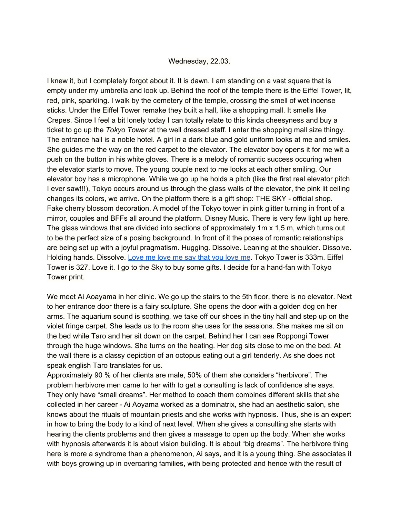#### Wednesday, 22.03.

I knew it, but I completely forgot about it. It is dawn. I am standing on a vast square that is empty under my umbrella and look up. Behind the roof of the temple there is the Eiffel Tower, lit, red, pink, sparkling. I walk by the cemetery of the temple, crossing the smell of wet incense sticks. Under the Eiffel Tower remake they built a hall, like a shopping mall. It smells like Crepes. Since I feel a bit lonely today I can totally relate to this kinda cheesyness and buy a ticket to go up the *Tokyo Tower* at the well dressed staff. I enter the shopping mall size thingy. The entrance hall is a noble hotel. A girl in a dark blue and gold uniform looks at me and smiles. She guides me the way on the red carpet to the elevator. The elevator boy opens it for me wit a push on the button in his white gloves. There is a melody of romantic success occuring when the elevator starts to move. The young couple next to me looks at each other smiling. Our elevator boy has a microphone. While we go up he holds a pitch (like the first real elevator pitch I ever saw!!!), Tokyo occurs around us through the glass walls of the elevator, the pink lit ceiling changes its colors, we arrive. On the platform there is a gift shop: THE SKY - official shop. Fake cherry blossom decoration. A model of the Tokyo tower in pink glitter turning in front of a mirror, couples and BFFs all around the platform. Disney Music. There is very few light up here. The glass windows that are divided into sections of approximately 1m x 1,5 m, which turns out to be the perfect size of a posing background. In front of it the poses of romantic relationships are being set up with a joyful pragmatism. Hugging. Dissolve. Leaning at the shoulder. Dissolve. Holding hands. Dissolve. [Love](https://www.youtube.com/watch?v=CRsSr4Fd_2U) me love me say that you love me. Tokyo Tower is 333m. Eiffel Tower is 327. Love it. I go to the Sky to buy some gifts. I decide for a hand-fan with Tokyo Tower print.

We meet Ai Aoayama in her clinic. We go up the stairs to the 5th floor, there is no elevator. Next to her entrance door there is a fairy sculpture. She opens the door with a golden dog on her arms. The aquarium sound is soothing, we take off our shoes in the tiny hall and step up on the violet fringe carpet. She leads us to the room she uses for the sessions. She makes me sit on the bed while Taro and her sit down on the carpet. Behind her I can see Roppongi Tower through the huge windows. She turns on the heating. Her dog sits close to me on the bed. At the wall there is a classy depiction of an octopus eating out a girl tenderly. As she does not speak english Taro translates for us.

Approximately 90 % of her clients are male, 50% of them she considers "herbivore". The problem herbivore men came to her with to get a consulting is lack of confidence she says. They only have "small dreams". Her method to coach them combines different skills that she collected in her career - Ai Aoyama worked as a dominatrix, she had an aesthetic salon, she knows about the rituals of mountain priests and she works with hypnosis. Thus, she is an expert in how to bring the body to a kind of next level. When she gives a consulting she starts with hearing the clients problems and then gives a massage to open up the body. When she works with hypnosis afterwards it is about vision building. It is about "big dreams". The herbivore thing here is more a syndrome than a phenomenon, Ai says, and it is a young thing. She associates it with boys growing up in overcaring families, with being protected and hence with the result of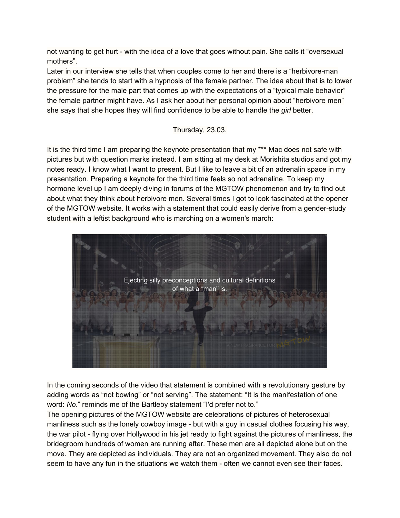not wanting to get hurt - with the idea of a love that goes without pain. She calls it "oversexual mothers".

Later in our interview she tells that when couples come to her and there is a "herbivore-man problem" she tends to start with a hypnosis of the female partner. The idea about that is to lower the pressure for the male part that comes up with the expectations of a "typical male behavior" the female partner might have. As I ask her about her personal opinion about "herbivore men" she says that she hopes they will find confidence to be able to handle the *girl* better.

Thursday, 23.03.

It is the third time I am preparing the keynote presentation that my \*\*\* Mac does not safe with pictures but with question marks instead. I am sitting at my desk at Morishita studios and got my notes ready. I know what I want to present. But I like to leave a bit of an adrenalin space in my presentation. Preparing a keynote for the third time feels so not adrenaline. To keep my hormone level up I am deeply diving in forums of the MGTOW phenomenon and try to find out about what they think about herbivore men. Several times I got to look fascinated at the opener of the MGTOW website. It works with a statement that could easily derive from a gender-study student with a leftist background who is marching on a women's march:



In the coming seconds of the video that statement is combined with a revolutionary gesture by adding words as "not bowing" or "not serving". The statement: "It is the manifestation of one word: *No*." reminds me of the Bartleby statement "I'd prefer not to."

The opening pictures of the MGTOW website are celebrations of pictures of heterosexual manliness such as the lonely cowboy image - but with a guy in casual clothes focusing his way, the war pilot - flying over Hollywood in his jet ready to fight against the pictures of manliness, the bridegroom hundreds of women are running after. These men are all depicted alone but on the move. They are depicted as individuals. They are not an organized movement. They also do not seem to have any fun in the situations we watch them - often we cannot even see their faces.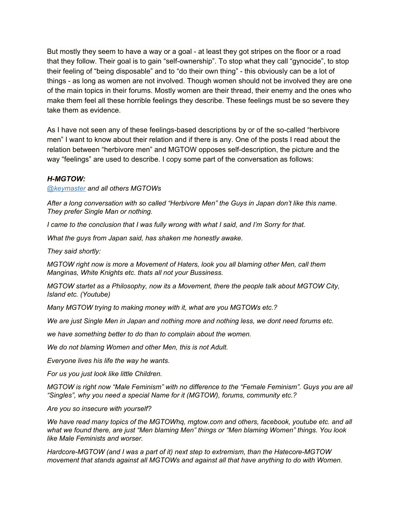But mostly they seem to have a way or a goal - at least they got stripes on the floor or a road that they follow. Their goal is to gain "self-ownership". To stop what they call "gynocide", to stop their feeling of "being disposable" and to "do their own thing" - this obviously can be a lot of things - as long as women are not involved. Though women should not be involved they are one of the main topics in their forums. Mostly women are their thread, their enemy and the ones who make them feel all these horrible feelings they describe. These feelings must be so severe they take them as evidence.

As I have not seen any of these feelings-based descriptions by or of the so-called "herbivore men" I want to know about their relation and if there is any. One of the posts I read about the relation between "herbivore men" and MGTOW opposes self-description, the picture and the way "feelings" are used to describe. I copy some part of the conversation as follows:

#### *H-MGTOW:*

*[@keymaster](https://www.mgtow.com/forums/users/keymaster/) and all others MGTOWs*

*After a long conversation with so called "Herbivore Men" the Guys in Japan don't like this name. They prefer Single Man or nothing.*

*I came to the conclusion that I was fully wrong with what I said, and I'm Sorry for that.*

*What the guys from Japan said, has shaken me honestly awake.*

*They said shortly:*

*MGTOW right now is more a Movement of Haters, look you all blaming other Men, call them Manginas, White Knights etc. thats all not your Bussiness.*

*MGTOW startet as a Philosophy, now its a Movement, there the people talk about MGTOW City, Island etc. (Youtube)*

*Many MGTOW trying to making money with it, what are you MGTOWs etc.?*

*We are just Single Men in Japan and nothing more and nothing less, we dont need forums etc.*

*we have something better to do than to complain about the women.*

*We do not blaming Women and other Men, this is not Adult.*

*Everyone lives his life the way he wants.*

*For us you just look like little Children.*

*MGTOW is right now "Male Feminism" with no difference to the "Female Feminism". Guys you are all "Singles", why you need a special Name for it (MGTOW), forums, community etc.?*

*Are you so insecure with yourself?*

*We have read many topics of the MGTOWhq, mgtow.com and others, facebook, youtube etc. and all what we found there, are just "Men blaming Men" things or "Men blaming Women" things. You look like Male Feminists and worser.*

*Hardcore-MGTOW (and I was a part of it) next step to extremism, than the Hatecore-MGTOW movement that stands against all MGTOWs and against all that have anything to do with Women.*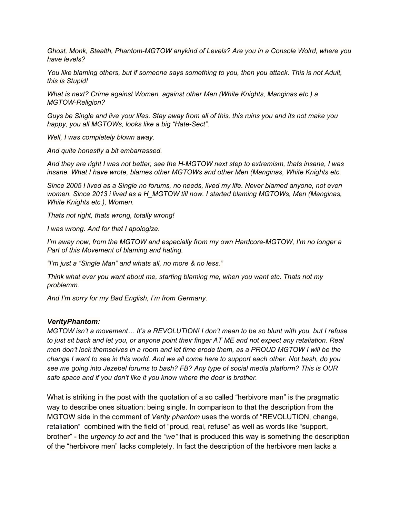*Ghost, Monk, Stealth, Phantom-MGTOW anykind of Levels? Are you in a Console Wolrd, where you have levels?*

*You like blaming others, but if someone says something to you, then you attack. This is not Adult, this is Stupid!*

*What is next? Crime against Women, against other Men (White Knights, Manginas etc.) a MGTOW-Religion?*

*Guys be Single and live your lifes. Stay away from all of this, this ruins you and its not make you happy, you all MGTOWs, looks like a big "Hate-Sect".*

*Well, I was completely blown away.*

*And quite honestly a bit embarrassed.*

*And they are right I was not better, see the H-MGTOW next step to extremism, thats insane, I was insane. What I have wrote, blames other MGTOWs and other Men (Manginas, White Knights etc.*

*Since 2005 I lived as a Single no forums, no needs, lived my life. Never blamed anyone, not even women. Since 2013 i lived as a H\_MGTOW till now. I started blaming MGTOWs, Men (Manginas, White Knights etc.), Women.*

*Thats not right, thats wrong, totally wrong!*

*I was wrong. And for that I apologize.*

*I'm away now, from the MGTOW and especially from my own Hardcore-MGTOW, I'm no longer a Part of this Movement of blaming and hating.*

*"I'm just a "Single Man" and whats all, no more & no less."*

*Think what ever you want about me, starting blaming me, when you want etc. Thats not my problemm.*

*And I'm sorry for my Bad English, I'm from Germany.*

#### *VerityPhantom:*

*MGTOW isn't a movement… It's a REVOLUTION! I don't mean to be so blunt with you, but I refuse to just sit back and let you, or anyone point their finger AT ME and not expect any retaliation. Real men don't lock themselves in a room and let time erode them, as a PROUD MGTOW I will be the change I want to see in this world. And we all come here to support each other. Not bash, do you see me going into Jezebel forums to bash? FB? Any type of social media platform? This is OUR safe space and if you don't like it you know where the door is brother.*

What is striking in the post with the quotation of a so called "herbivore man" is the pragmatic way to describe ones situation: being single. In comparison to that the description from the MGTOW side in the comment of *Verity phantom* uses the words of "REVOLUTION, change, retaliation" combined with the field of "proud, real, refuse" as well as words like "support, brother" - the *urgency to act* and the *"we"* that is produced this way is something the description of the "herbivore men" lacks completely. In fact the description of the herbivore men lacks a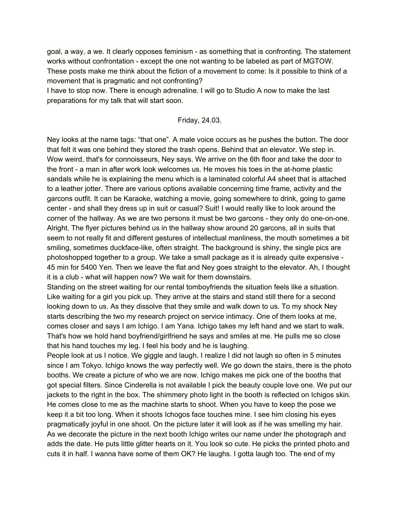goal, a way, a we. It clearly opposes feminism - as something that is confronting. The statement works without confrontation - except the one not wanting to be labeled as part of MGTOW. These posts make me think about the fiction of a movement to come: Is it possible to think of a movement that is pragmatic and not confronting?

I have to stop now. There is enough adrenaline. I will go to Studio A now to make the last preparations for my talk that will start soon.

## Friday, 24.03.

Ney looks at the name tags: "that one". A male voice occurs as he pushes the button. The door that felt it was one behind they stored the trash opens. Behind that an elevator. We step in. Wow weird, that's for connoisseurs, Ney says. We arrive on the 6th floor and take the door to the front - a man in after work look welcomes us. He moves his toes in the at-home plastic sandals while he is explaining the menu which is a laminated colorful A4 sheet that is attached to a leather jotter. There are various options available concerning time frame, activity and the garcons outfit. It can be Karaoke, watching a movie, going somewhere to drink, going to game center - and shall they dress up in suit or casual? Suit! I would really like to look around the corner of the hallway. As we are two persons it must be two garcons - they only do one-on-one. Alright. The flyer pictures behind us in the hallway show around 20 garcons, all in suits that seem to not really fit and different gestures of intellectual manliness, the mouth sometimes a bit smiling, sometimes duckface-like, often straight. The background is shiny, the single pics are photoshopped together to a group. We take a small package as it is already quite expensive - 45 min for 5400 Yen. Then we leave the flat and Ney goes straight to the elevator. Ah, I thought it is a club - what will happen now? We wait for them downstairs.

Standing on the street waiting for our rental tomboyfriends the situation feels like a situation. Like waiting for a girl you pick up. They arrive at the stairs and stand still there for a second looking down to us. As they dissolve that they smile and walk down to us. To my shock Ney starts describing the two my research project on service intimacy. One of them looks at me, comes closer and says I am Ichigo. I am Yana. Ichigo takes my left hand and we start to walk. That's how we hold hand boyfriend/girlfriend he says and smiles at me. He pulls me so close that his hand touches my leg. I feel his body and he is laughing.

People look at us I notice. We giggle and laugh. I realize I did not laugh so often in 5 minutes since I am Tokyo. Ichigo knows the way perfectly well. We go down the stairs, there is the photo booths. We create a picture of who we are now. Ichigo makes me pick one of the booths that got special filters. Since Cinderella is not available I pick the beauty couple love one. We put our jackets to the right in the box. The shimmery photo light in the booth is reflected on Ichigos skin. He comes close to me as the machine starts to shoot. When you have to keep the pose we keep it a bit too long. When it shoots Ichogos face touches mine. I see him closing his eyes pragmatically joyful in one shoot. On the picture later it will look as if he was smelling my hair. As we decorate the picture in the next booth Ichigo writes our name under the photograph and adds the date. He puts little glitter hearts on it. You look so cute. He picks the printed photo and cuts it in half. I wanna have some of them OK? He laughs. I gotta laugh too. The end of my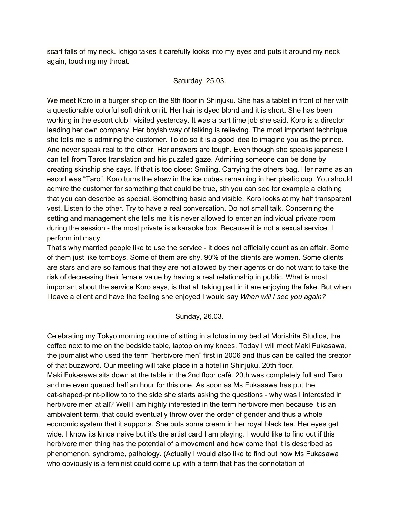scarf falls of my neck. Ichigo takes it carefully looks into my eyes and puts it around my neck again, touching my throat.

## Saturday, 25.03.

We meet Koro in a burger shop on the 9th floor in Shinjuku. She has a tablet in front of her with a questionable colorful soft drink on it. Her hair is dyed blond and it is short. She has been working in the escort club I visited yesterday. It was a part time job she said. Koro is a director leading her own company. Her boyish way of talking is relieving. The most important technique she tells me is admiring the customer. To do so it is a good idea to imagine you as the prince. And never speak real to the other. Her answers are tough. Even though she speaks japanese I can tell from Taros translation and his puzzled gaze. Admiring someone can be done by creating skinship she says. If that is too close: Smiling. Carrying the others bag. Her name as an escort was "Taro". Koro turns the straw in the ice cubes remaining in her plastic cup. You should admire the customer for something that could be true, sth you can see for example a clothing that you can describe as special. Something basic and visible. Koro looks at my half transparent vest. Listen to the other. Try to have a real conversation. Do not small talk. Concerning the setting and management she tells me it is never allowed to enter an individual private room during the session - the most private is a karaoke box. Because it is not a sexual service. I perform intimacy.

That's why married people like to use the service - it does not officially count as an affair. Some of them just like tomboys. Some of them are shy. 90% of the clients are women. Some clients are stars and are so famous that they are not allowed by their agents or do not want to take the risk of decreasing their female value by having a real relationship in public. What is most important about the service Koro says, is that all taking part in it are enjoying the fake. But when I leave a client and have the feeling she enjoyed I would say *When will I see you again?*

## Sunday, 26.03.

Celebrating my Tokyo morning routine of sitting in a lotus in my bed at Morishita Studios, the coffee next to me on the bedside table, laptop on my knees. Today I will meet Maki Fukasawa, the journalist who used the term "herbivore men" first in 2006 and thus can be called the creator of that buzzword. Our meeting will take place in a hotel in Shinjuku, 20th floor. Maki Fukasawa sits down at the table in the 2nd floor café. 20th was completely full and Taro and me even queued half an hour for this one. As soon as Ms Fukasawa has put the cat-shaped-print-pillow to to the side she starts asking the questions - why was I interested in herbivore men at all? Well I am highly interested in the term herbivore men because it is an ambivalent term, that could eventually throw over the order of gender and thus a whole economic system that it supports. She puts some cream in her royal black tea. Her eyes get wide. I know its kinda naive but it's the artist card I am playing. I would like to find out if this herbivore men thing has the potential of a movement and how come that it is described as phenomenon, syndrome, pathology. (Actually I would also like to find out how Ms Fukasawa who obviously is a feminist could come up with a term that has the connotation of